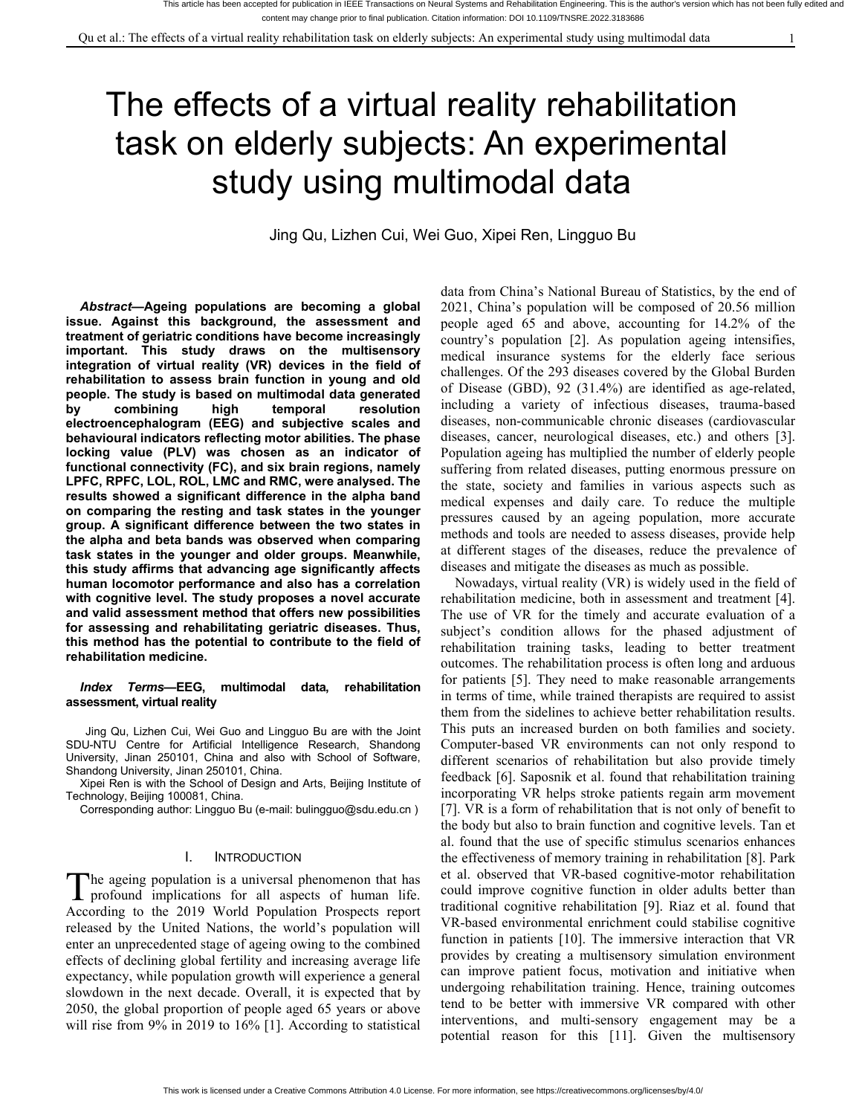# The effects of a virtual reality rehabilitation task on elderly subjects:An experimental study using multimodal data

Jing Qu, Lizhen Cui, Wei Guo, Xipei Ren, Lingguo Bu

*Abstract***—Ageing populations are becoming a global issue. Against this background, the assessment and treatment of geriatric conditions have become increasingly important. This study draws on the multisensory integration of virtual reality (VR) devices in the field of rehabilitation to assess brain function in young and old people. The study is based on multimodal data generated by combining high temporal resolution** including a variety of infectious diseases, trauma-based **electroencephalogram (EEG) and subjective scales and behavioural indicators reflecting motor abilities. The phase locking value (PLV) was chosen as an indicator of functional connectivity (FC), and six brain regions, namely LPFC, RPFC, LOL, ROL, LMC and RMC, were analysed. The results showed a significant difference in the alpha band on comparing the resting and task states in the younger group. A significant difference between the two states in the alpha and beta bands was observed when comparing task states in the younger and older groups. Meanwhile, this study affirms that advancing age significantly affects human locomotor performance and also has a correlation with cognitive level. The study proposes a novel accurate and valid assessment method that offers new possibilities for assessing and rehabilitating geriatric diseases. Thus, this method has the potential to contribute to the field of rehabilitation medicine.**

#### *Index Terms***—EEG, multimodal data, rehabilitation assessment, virtual reality**

Jing Qu, Lizhen Cui, Wei Guo and Lingguo Bu are with the Joint SDU-NTU Centre for Artificial Intelligence Research, Shandong University, Jinan 250101, China and also with School of Software, Shandong University, Jinan 250101, China.

Xipei Ren is with the School of Design and Arts, Beijing Institute of Technology, Beijing 100081, China.

Corresponding author: Lingguo Bu (e-mail: bulingguo@sdu.edu.cn )

#### I. INTRODUCTION

he ageing population is a universal phenomenon that has The ageing population is a universal phenomenon that has  $\begin{array}{c}$  et al. observed that  $\gamma$  profound implications for all aspects of human life.  $\gamma$  could improve cognitive According to the 2019 World Population Prospects report released by the United Nations, the world's population will enter an unprecedented stage of ageing owing to the combined effects of declining global fertility and increasing average life expectancy, while population growth will experience a general slowdown in the next decade. Overall, it is expected that by 2050, the global proportion of people aged 65 years or above will rise from  $9\%$  in 2019 to 16% [1]. According to statistical

data from China's National Bureau of Statistics, by the end of 2021, China's population will be composed of 20.56 million people aged 65 and above, accounting for 14.2% of the country's population [2]. As population ageing intensifies, medical insurance systems for the elderly face serious challenges. Of the 293 diseases covered by the Global Burden of Disease (GBD), 92 (31.4%) are identified as age-related, diseases, non-communicable chronic diseases (cardiovascular diseases, cancer, neurological diseases, etc.) and others [3]. suffering from related diseases, putting enormous pressure on the state, society and families in various aspects such as medical expenses and daily care. To reduce the multiple pressures caused by an ageing population, more accurate methods and tools are needed to assess diseases, provide help at different stages of the diseases, reduce the prevalence of diseases and mitigate the diseases as much as possible.

Nowadays, virtual reality (VR) is widely used in the field of rehabilitation medicine, both in assessment and treatment [4]. The use of VR for the timely and accurate evaluation of a subject's condition allows for the phased adjustment of rehabilitation training tasks, leading to better treatment outcomes. The rehabilitation process is often long and arduous for patients [5]. They need to make reasonable arrangements in terms of time, while trained therapists are required to assist them from the sidelines to achieve better rehabilitation results. This puts an increased burden on both families and society. Computer-based VR environments can not only respond to different scenarios of rehabilitation but also provide timely feedback [6]. Saposnik et al. found that rehabilitation training incorporating VR helps stroke patients regain arm movement [7].  $VR$  is a form of rehabilitation that is not only of benefit to the body but also to brain function and cognitive levels. Tan et al. found that the use of specific stimulus scenarios enhances the effectiveness of memory training in rehabilitation [8]. Park et al. observed that VR-based cognitive-motor rehabilitation could improve cognitive function in older adults better than traditional cognitive rehabilitation [9]. Riaz et al. found that VR-based environmental enrichment could stabilise cognitive function in patients [10]. The immersive interaction that VR provides by creating a multisensory simulation environment can improve patient focus, motivation and initiative when undergoing rehabilitation training. Hence, training outcomes tend to be better with immersive VR compared with other interventions, and multi-sensory engagement may be a potential reason for this [11]. Given the multisensory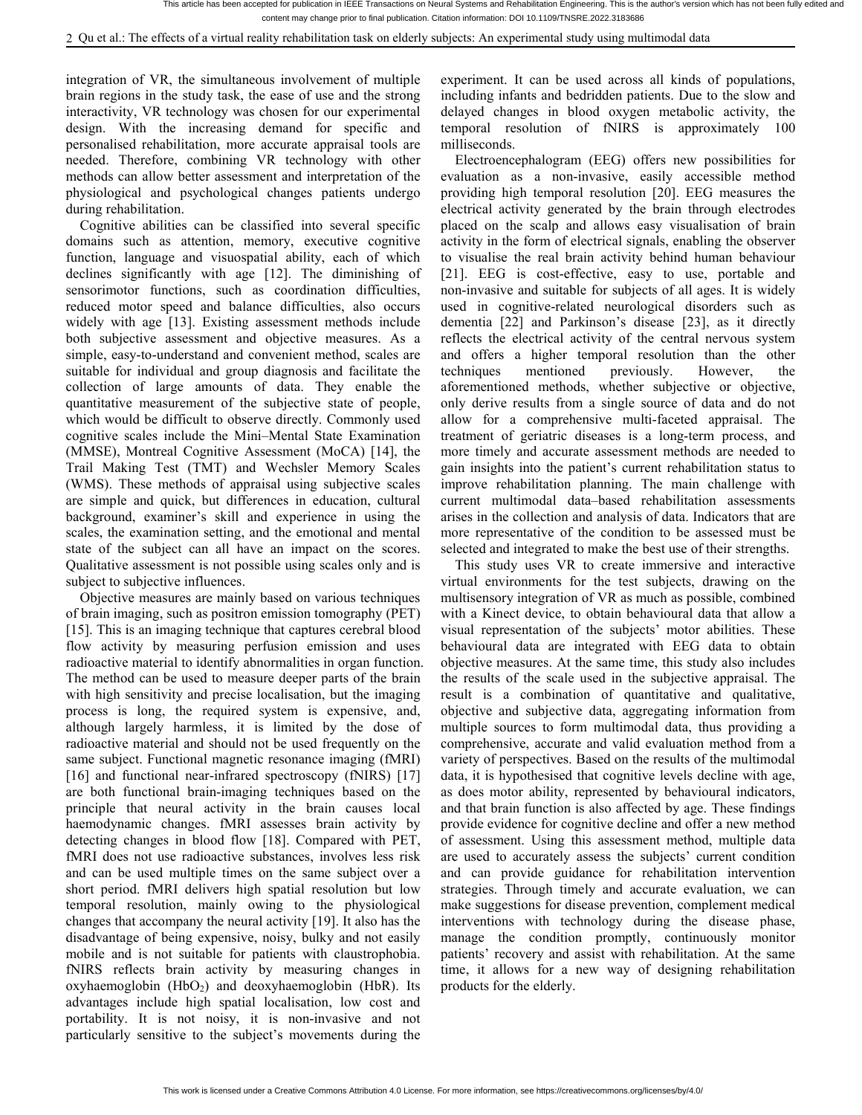integration of VR, the simultaneous involvement of multiple brain regions in the study task, the ease of use and the strong interactivity, VR technology was chosen for our experimental design. With the increasing demand for specific and personalised rehabilitation, more accurate appraisal tools are needed. Therefore, combining VR technology with other methods can allow better assessment and interpretation of the physiological and psychological changes patients undergo during rehabilitation.

Cognitive abilities can be classified into several specific domains such as attention, memory, executive cognitive function, language and visuospatial ability, each of which declines significantly with age [12]. The diminishing of sensorimotor functions, such as coordination difficulties, reduced motor speed and balance difficulties, also occurs widely with age [13]. Existing assessment methods include both subjective assessment and objective measures. As a simple, easy-to-understand and convenient method, scales are suitable for individual and group diagnosis and facilitate the techniques mentioned collection of large amounts of data. They enable the quantitative measurement of the subjective state of people, which would be difficult to observe directly. Commonly used cognitive scales include the Mini–Mental State Examination (MMSE), Montreal Cognitive Assessment (MoCA) [14], the Trail Making Test (TMT) and Wechsler Memory Scales (WMS). These methods of appraisal using subjective scales are simple and quick, but differences in education, cultural background, examiner's skill and experience in using the scales, the examination setting, and the emotional and mental state of the subject can all have an impact on the scores. Qualitative assessment is not possible using scales only and is subject to subjective influences.

Objective measures are mainly based on various techniques of brain imaging, such as positron emission tomography (PET) [15]. This is an imaging technique that captures cerebral blood flow activity by measuring perfusion emission and uses radioactive material to identify abnormalities in organ function. The method can be used to measure deeper parts of the brain with high sensitivity and precise localisation, but the imaging process is long, the required system is expensive, and, although largely harmless, it is limited by the dose of radioactive material and should not be used frequently on the same subject. Functional magnetic resonance imaging (fMRI) [16] and functional near-infrared spectroscopy (fNIRS) [17] are both functional brain-imaging techniques based on the principle that neural activity in the brain causes local haemodynamic changes. fMRI assesses brain activity by detecting changes in blood flow [18]. Compared with PET, fMRI does not use radioactive substances, involves less risk and can be used multiple times on the same subject over a short period. fMRI delivers high spatial resolution but low temporal resolution, mainly owing to the physiological changes that accompany the neural activity [19]. It also has the disadvantage of being expensive, noisy, bulky and not easily mobile and is not suitable for patients with claustrophobia. fNIRS reflects brain activity by measuring changes in oxyhaemoglobin  $(HbO<sub>2</sub>)$  and deoxyhaemoglobin  $(HbR)$ . Its advantages include high spatial localisation, low cost and portability. It is not noisy, it is non-invasive and not particularly sensitive to the subject's movements during the

experiment. It can be used across all kinds of populations, including infants and bedridden patients. Due to the slow and delayed changes in blood oxygen metabolic activity, the temporal resolution of fNIRS is approximately 100 milliseconds.

Electroencephalogram (EEG) offers new possibilities for evaluation as a non-invasive, easily accessible method providing high temporal resolution [20]. EEG measures the electrical activity generated by the brain through electrodes placed on the scalp and allows easy visualisation of brain activity in the form of electrical signals, enabling the observer to visualise the real brain activity behind human behaviour [21]. EEG is cost-effective, easy to use, portable and non-invasive and suitable for subjects of all ages. It is widely used in cognitive-related neurological disorders such as dementia [22] and Parkinson's disease [23], as it directly reflects the electrical activity of the central nervous system and offers a higher temporal resolution than the other previously. However, the aforementioned methods, whether subjective or objective, only derive results from a single source of data and do not allow for a comprehensive multi-faceted appraisal. The treatment of geriatric diseases is a long-term process, and more timely and accurate assessment methods are needed to gain insights into the patient's current rehabilitation status to improve rehabilitation planning. The main challenge with current multimodal data–based rehabilitation assessments arises in the collection and analysis of data. Indicators that are more representative of the condition to be assessed must be selected and integrated to make the best use of their strengths.

This study uses VR to create immersive and interactive virtual environments for the test subjects, drawing on the multisensory integration of VR as much as possible, combined with a Kinect device, to obtain behavioural data that allow a visual representation of the subjects' motor abilities. These behavioural data are integrated with EEG data to obtain objective measures. At the same time, this study also includes the results of the scale used in the subjective appraisal. The result is a combination of quantitative and qualitative, objective and subjective data, aggregating information from multiple sources to form multimodal data, thus providing a comprehensive, accurate and valid evaluation method from a variety of perspectives. Based on the results of the multimodal data, it is hypothesised that cognitive levels decline with age, as does motor ability, represented by behavioural indicators, and that brain function is also affected by age. These findings provide evidence for cognitive decline and offer a new method of assessment. Using this assessment method, multiple data are used to accurately assess the subjects' current condition and can provide guidance for rehabilitation intervention strategies. Through timely and accurate evaluation, we can make suggestions for disease prevention, complement medical interventions with technology during the disease phase, manage the condition promptly, continuously monitor patients' recovery and assist with rehabilitation. At the same time, it allows for a new way of designing rehabilitation products for the elderly.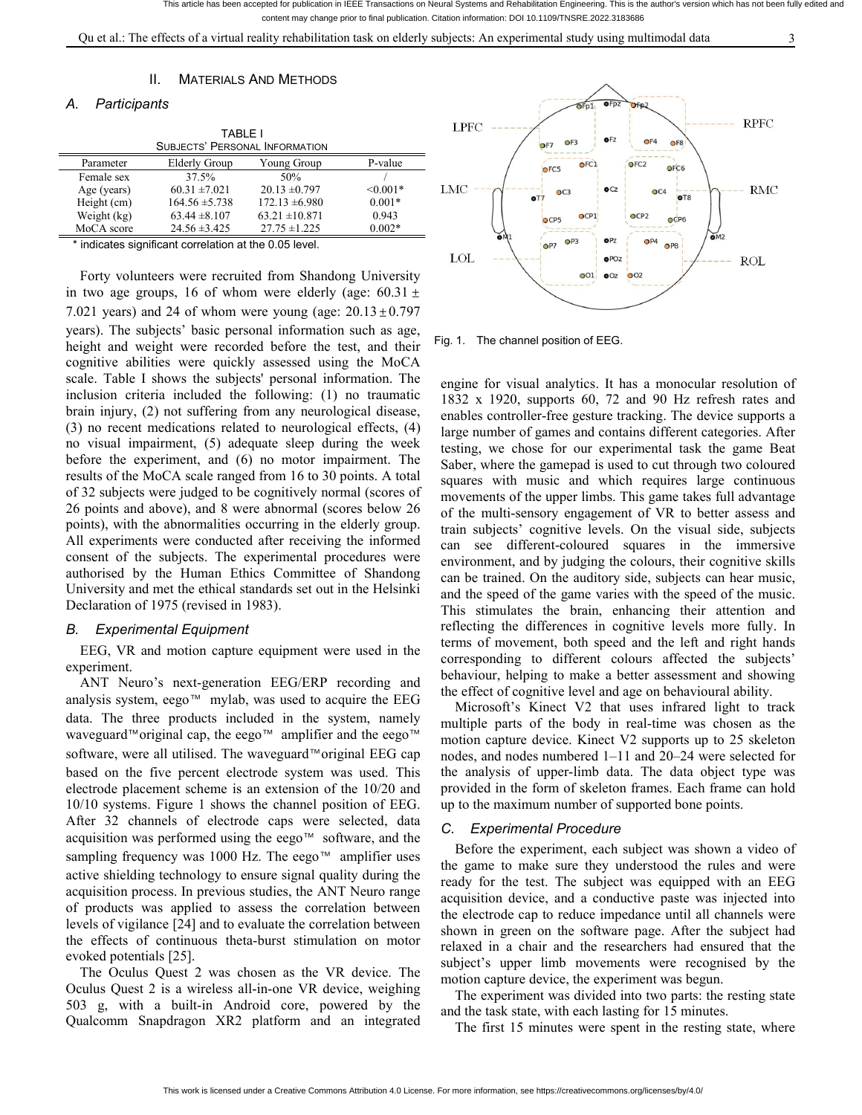Qu et al.: The effects of a virtual reality rehabilitation task on elderly subjects: An experimental study using multimodal data 3

#### II. MATERIALS AND METHODS

# *A. Participants*

|              | LPFC                                 |                                       |               |     |
|--------------|--------------------------------------|---------------------------------------|---------------|-----|
|              |                                      | <b>SUBJECTS' PERSONAL INFORMATION</b> |               |     |
| Parameter    | Elderly Group                        | Young Group                           | P-value       |     |
| Female sex   | 37.5%                                | 50%                                   |               |     |
| Age (years)  | $60.31 \pm 7.021$                    | $20.13 \pm 0.797$                     | $\leq 0.001*$ | LMC |
| Height (cm)  | $164.56 \pm 5.738$                   | $172.13 \pm 6.980$                    | $0.001*$      |     |
| Weight (kg)  | $63.44 \pm 8.107$                    | $63.21 \pm 10.871$                    | 0.943         |     |
| MoCA score   | $24.56 \pm 3.425$                    | $27.75 \pm 1.225$                     | $0.002*$      | OM1 |
| $\cdot$<br>. | $\cdots$<br>$\overline{\phantom{a}}$ | $\cdots$ $\sim$ $\sim$ $\cdots$       |               |     |

indicates significant correlation at the 0.05 level.

Forty volunteers were recruited from Shandong University in two age groups, 16 of whom were elderly (age:  $60.31 \pm$ 7.021 years) and 24 of whom were young (age:  $20.13 \pm 0.797$ years). The subjects' basic personal information such as age, height and weight were recorded before the test, and their cognitive abilities were quickly assessed using the MoCA scale. Table I shows the subjects' personal information. The inclusion criteria included the following: (1) no traumatic brain injury, (2) not suffering from any neurological disease, (3) no recent medications related to neurological effects, (4) no visual impairment, (5) adequate sleep during the week before the experiment, and (6) no motor impairment. The results of the MoCA scale ranged from 16 to 30 points. A total of 32 subjects were judged to be cognitively normal (scores of 26 points and above), and 8 were abnormal (scores below 26 points), with the abnormalities occurring in the elderly group. All experiments were conducted after receiving the informed consent of the subjects. The experimental procedures were authorised by the Human Ethics Committee of Shandong University and met the ethical standards set out in the Helsinki Declaration of 1975 (revised in 1983).

## *B. Experimental Equipment*

EEG, VR and motion capture equipment were used in the experiment.

ANT Neuro's next-generation EEG/ERP recording and analysis system, eego™ mylab, was used to acquire the EEG data. The three products included in the system, namely waveguard™original cap, the eego™ amplifier and the eego™ software, were all utilised. The waveguard™original EEG cap based on the five percent electrode system was used. This electrode placement scheme is an extension of the  $10/20$  and 10/10 systems. Figure 1 shows the channel position of EEG. After 32 channels of electrode caps were selected, data acquisition was performed using the eego™ software, and the sampling frequency was 1000 Hz. The eego™ amplifier uses active shielding technology to ensure signal quality during the acquisition process. In previous studies, the ANT Neuro range of products was applied to assess the correlation between levels of vigilance [24] and to evaluate the correlation between the effects of continuous theta-burst stimulation on motor evoked potentials [25].

The Oculus Quest 2 was chosen as the VR device. The Oculus Quest 2 is a wireless all-in-one VR device, weighing 503 g, with a built-in Android core, powered by the Qualcomm Snapdragon XR2 platform and an integrated



Fig. 1. The channel position of EEG.

engine for visual analytics. It has a monocular resolution of 1832 x 1920, supports 60, 72 and 90 Hz refresh rates and enables controller-free gesture tracking. The device supports a large number of games and contains different categories. After testing, we chose for our experimental task the game Beat Saber, where the gamepad is used to cut through two coloured squares with music and which requires large continuous movements of the upper limbs. This game takes full advantage of the multi-sensory engagement of VR to better assess and train subjects' cognitive levels. On the visual side, subjects can see different-coloured squares in the immersive environment, and by judging the colours, their cognitive skills can be trained. On the auditory side, subjects can hear music, and the speed of the game varies with the speed of the music. This stimulates the brain, enhancing their attention and reflecting the differences in cognitive levels more fully. In terms of movement, both speed and the left and right hands corresponding to different colours affected the subjects' behaviour, helping to make a better assessment and showing the effect of cognitive level and age on behavioural ability.

Microsoft's Kinect V2 that uses infrared light to track multiple parts of the body in real-time was chosen as the motion capture device. Kinect V2 supports up to 25 skeleton nodes, and nodes numbered 1–11 and 20–24 were selected for the analysis of upper-limb data. The data object type was provided in the form of skeleton frames. Each frame can hold up to the maximum number of supported bone points.

#### *C. Experimental Procedure*

Before the experiment, each subject was shown a video of the game to make sure they understood the rules and were ready for the test. The subject was equipped with an EEG acquisition device, and a conductive paste was injected into the electrode cap to reduce impedance until all channels were shown in green on the software page. After the subject had relaxed in a chair and the researchers had ensured that the subject's upper limb movements were recognised by the motion capture device, the experiment was begun.

The experiment was divided into two parts: the resting state and the task state, with each lasting for 15 minutes.

The first 15 minutes were spent in the resting state, where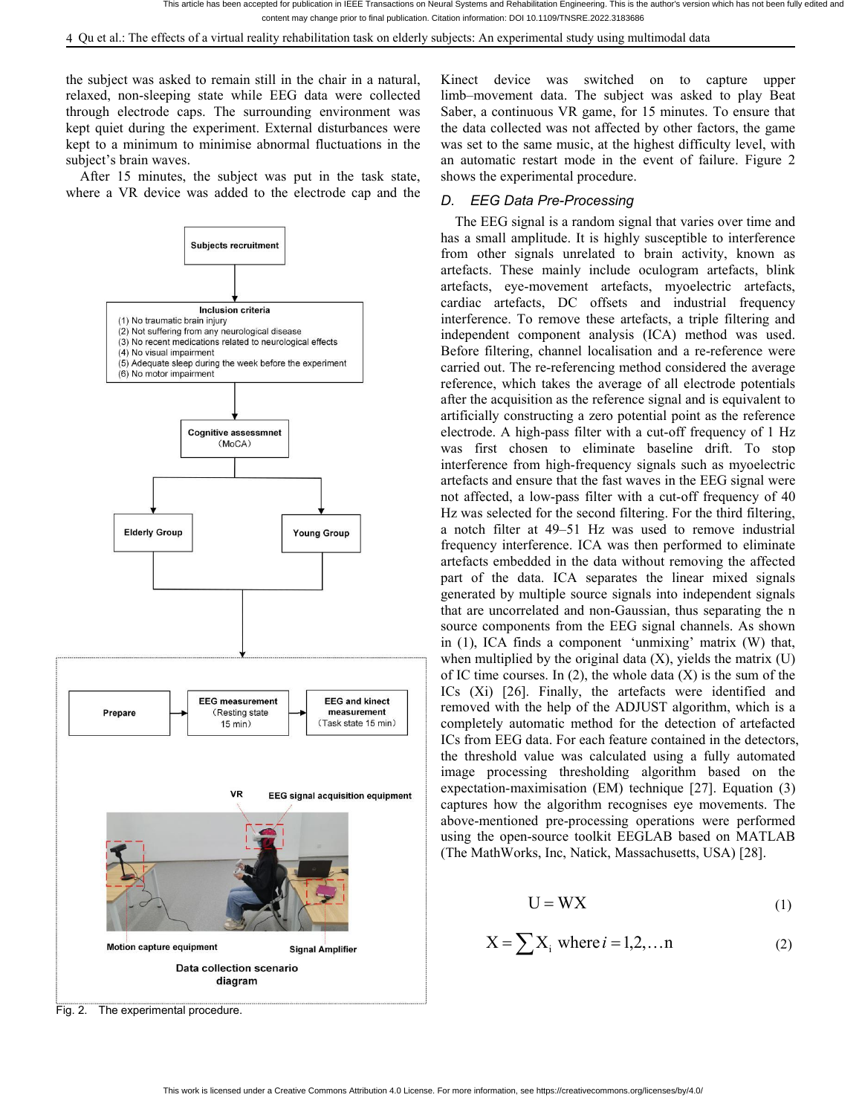the subjectwas asked to remain still in the chair in a natural, relaxed, non-sleeping state while EEG data were collected through electrode caps. The surrounding environment was kept quiet during the experiment. External disturbances were kept to a minimum to minimise abnormal fluctuations in the subject's brain waves.

After 15 minutes, the subject was put in the task state, where a VR device was added to the electrode cap and the



Kinect device was switched on to capture upper limb–movement data. The subject was asked to play Beat Saber, a continuous VR game, for 15 minutes. To ensure that the data collected was not affected by other factors, the game was set to the same music, at the highest difficulty level, with an automatic restart mode in the event of failure. Figure 2 shows the experimental procedure.

# *D. EEG Data Pre-Processing*

The EEG signal is a random signal that varies over time and has a small amplitude. It is highly susceptible to interference from other signals unrelated to brain activity, known as artefacts. These mainly include oculogram artefacts, blink artefacts, eye-movement artefacts, myoelectric artefacts, cardiac artefacts, DC offsets and industrial frequency interference. To remove these artefacts, a triple filtering and independent component analysis (ICA) method was used.<br>Before filtering, channel localisation and a re-reference were carried out. The re-referencing method considered the average reference, which takes the average of all electrode potentials after the acquisition as the reference signal and is equivalent to artificially constructing a zero potential point as the reference electrode. A high-pass filter with a cut-off frequency of 1 Hz was first chosen to eliminate baseline drift. To stop interference from high-frequency signals such as myoelectric artefacts and ensure that the fast waves in the EEG signal were not affected, a low-pass filter with a cut-off frequency of 40 Hz was selected for the second filtering. For the third filtering, a notch filter at 49–51 Hz was used to remove industrial frequency interference. ICA was then performed to eliminate artefacts embedded in the data without removing the affected part of the data. ICA separates the linear mixed signals generated by multiple source signals into independent signals that are uncorrelated and non-Gaussian, thus separating the n source components from the EEG signal channels. As shown in (1), ICA finds a component 'unmixing' matrix (W) that, when multiplied by the original data  $(X)$ , yields the matrix  $(U)$ of IC time courses. In  $(2)$ , the whole data  $(X)$  is the sum of the ICs (Xi) [26]. Finally, the artefacts were identified and removed with the help of the ADJUST algorithm, which is a completely automatic method for the detection of artefacted ICs from EEG data. For each feature contained in the detectors, the threshold value was calculated using a fully automated image processing thresholding algorithm based on the expectation-maximisation (EM) technique [27]. Equation (3) captures how the algorithm recognises eye movements. The above-mentioned pre-processing operations were performed using the open-source toolkit EEGLAB based on MATLAB (The MathWorks, Inc, Natick, Massachusetts, USA) [28].

$$
U = WX \tag{1}
$$

$$
X = \sum X_i \text{ where } i = 1, 2, \dots n \tag{2}
$$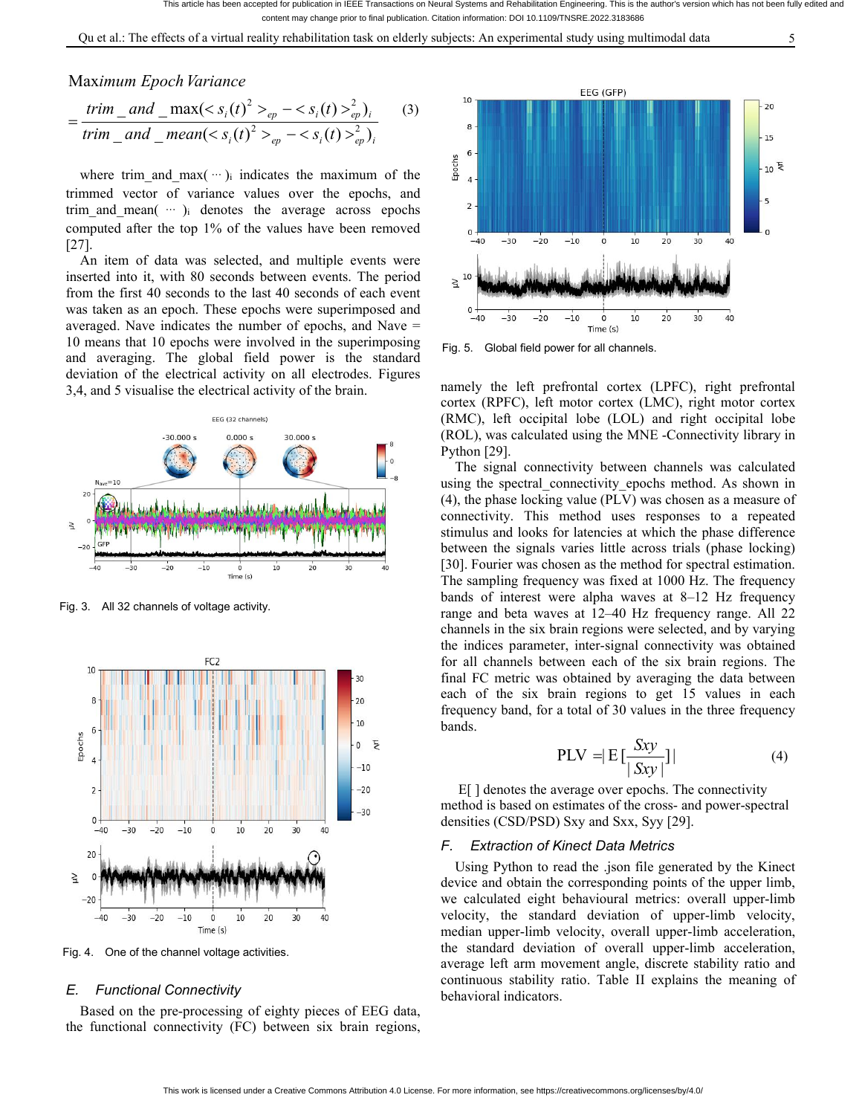Qu et al.: The effects of a virtual reality rehabilitation task on elderly subjects: An experimental study using multimodal data 5

# *imum Epoch Variance* Maximum *Epoch Variance*

$$
= \frac{trim\_and\_max(_{ep} - _{ep}^2)_i}{trim\_and\_mean(_{ep} - _{ep}^2)_i}
$$
 (3)

where trim\_and\_max( … )<sub>i</sub> indicates the maximum of the  $\frac{2}{9}$ trimmed vector of variance values over the epochs, and  $t_{\text{min}}$  and  $t_{\text{max}}$  and  $t_{\text{max}}$  and  $t_{\text{max}}$  and  $t_{\text{max}}$  and  $t_{\text{max}}$  and  $t_{\text{max}}$  and  $t_{\text{max}}$  and  $t_{\text{max}}$  and  $t_{\text{max}}$  and  $t_{\text{max}}$  and  $t_{\text{max}}$  an trim and mean( $\cdots$ )<sub>i</sub> denotes the average across epochs computed after the top 1% of the values have been removed  $_{0}$ ,  $_{-40}$   $_{-30}$   $_{-20}$   $_{-20}$ [27].

An item of data was selected, and multiple events were inserted into it, with 80 seconds between events. The period  $\frac{10}{2}$ from the first 40 seconds to the last 40 seconds of each event was taken as an epoch. These epochs were superimposed and  $\frac{0}{-40}$   $\frac{1}{-30}$   $\frac{1}{-20}$ averaged. Nave indicates the number of epochs, and Nave  $=$   $-40$   $-30$   $-20$   $-10$ 10 means that 10 epochs were involved in the superimposing and averaging. The global field power is the standard deviation of the electrical activity on all electrodes. Figures 3,4, and 5 visualise the electrical activity of the brain.



Fig. 3. All 32 channels of voltage activity.



Fig. 4. One of the channel voltage activities.

#### *E. Functional Connectivity*

Based on the pre-processing of eighty pieces of EEG data, the functional connectivity (FC) between six brain regions,



Fig. 5. Global field power for all channels.

namely the left prefrontal cortex (LPFC), right prefrontal cortex (RPFC), left motor cortex (LMC), right motor cortex (RMC), left occipital lobe (LOL) and right occipital lobe (ROL), was calculated using the MNE -Connectivity library in Python [29].

The signal connectivity between channels was calculated using the spectral connectivity epochs method. As shown in (4), the phase locking value (PLV) was chosen as a measure of connectivity. This method uses responses to a repeated stimulus and looks for latencies at which the phase difference between the signals varies little across trials (phase locking) [30]. Fourier was chosen as the method for spectral estimation. The sampling frequency was fixed at 1000 Hz. The frequency bands of interest were alpha waves at 8–12 Hz frequency range and beta waves at 12–40 Hz frequency range. All 22 channels in the six brain regions were selected, and by varying the indices parameter, inter-signal connectivity was obtained for all channels between each of the six brain regions. The final FC metric was obtained by averaging the data between each of the six brain regions to get 15 values in each frequency band, for a total of 30 values in the three frequency bands.

$$
PLV = |E\left[\frac{Sxy}{|Sxy|}\right]| \tag{4}
$$

E[ ] denotes the average over epochs. The connectivity method is based on estimates of the cross- and power-spectral densities (CSD/PSD) Sxy and Sxx, Syy [29].

#### *F. Extraction of Kinect Data Metrics*

Using Python to read the .json file generated by the Kinect device and obtain the corresponding points of the upper limb, we calculated eight behavioural metrics: overall upper-limb velocity, the standard deviation of upper-limb velocity, median upper-limb velocity, overall upper-limb acceleration, the standard deviation of overall upper-limb acceleration, average left arm movement angle, discrete stability ratio and continuous stability ratio. Table II explains the meaning of behavioral indicators.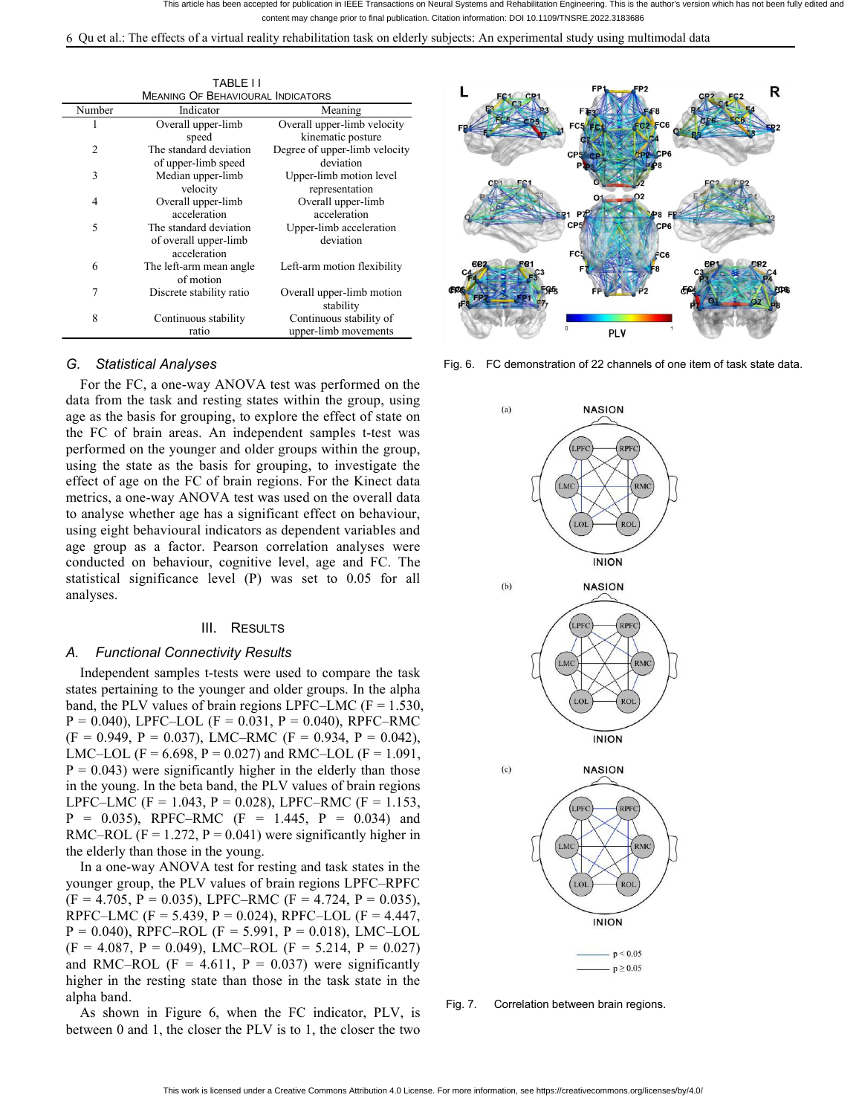6 Qu et al.: The effects ofa virtual reality rehabilitation task on elderly subjects: An experimental study using multimodal data

| Number | Indicator                | Meaning                       |  |
|--------|--------------------------|-------------------------------|--|
|        | Overall upper-limb       | Overall upper-limb velocity   |  |
|        | speed                    | kinematic posture             |  |
| 2      | The standard deviation   | Degree of upper-limb velocity |  |
|        | of upper-limb speed      | deviation                     |  |
| 3      | Median upper-limb        | Upper-limb motion level       |  |
|        | velocity                 | representation                |  |
| 4      | Overall upper-limb       | Overall upper-limb            |  |
|        | acceleration             | acceleration                  |  |
| 5      | The standard deviation   | Upper-limb acceleration       |  |
|        | of overall upper-limb    | deviation                     |  |
|        | acceleration             |                               |  |
| 6      | The left-arm mean angle  | Left-arm motion flexibility   |  |
|        | of motion                |                               |  |
|        | Discrete stability ratio | Overall upper-limb motion     |  |
|        |                          | stability                     |  |
| 8      | Continuous stability     | Continuous stability of       |  |
|        | ratio                    | upper-limb movements          |  |

## *G. Statistical Analyses*

For the FC, a one-way ANOVA test was performed on the data from the task and resting states within the group, using age as the basis for grouping, to explore the effect of state on the FC of brain areas. An independent samples t-test was performed on the younger and older groups within the group, using the state as the basis for grouping, to investigate the effect of age on the FC of brain regions. For the Kinect data metrics, a one-way ANOVA test was used on the overall data to analyse whether age has a significant effect on behaviour, using eight behavioural indicators as dependent variables and age group as a factor. Pearson correlation analyses were conducted on behaviour, cognitive level, age and FC. The statistical significance level  $(P)$  was set to 0.05 for all  $(6)$ analyses.

#### III. RESULTS

#### *A. Functional Connectivity Results*

Independent samples t-tests were used to compare the task states pertaining to the younger and older groups. In the alpha band, the PLV values of brain regions LPFC–LMC ( $F = 1.530$ ,  $P = 0.040$ ), LPFC–LOL (F = 0.031, P = 0.040), RPFC–RMC  $(F = 0.949, P = 0.037)$ , LMC–RMC  $(F = 0.934, P = 0.042)$ , LMC–LOL (F = 6.698, P = 0.027) and RMC–LOL (F = 1.091,  $P = 0.043$ ) were significantly higher in the elderly than those in the young. In the beta band, the PLV values of brain regions LPFC–LMC (F = 1.043, P = 0.028), LPFC–RMC (F = 1.153,  $P = 0.035$ ), RPFC–RMC (F = 1.445, P = 0.034) and RMC–ROL (F = 1.272, P = 0.041) were significantly higher in the elderly than those in the young.

In a one-way ANOVA test for resting and task states in the younger group, the PLV values of brain regions LPFC–RPFC  $(F = 4.705, P = 0.035), LPFC–RMC (F = 4.724, P = 0.035),$ RPFC–LMC (F = 5.439, P = 0.024), RPFC–LOL (F = 4.447,  $P = 0.040$ ), RPFC–ROL (F = 5.991, P = 0.018), LMC–LOL  $(F = 4.087, P = 0.049), LMC–ROL (F = 5.214, P = 0.027)$ and RMC–ROL (F = 4.611, P = 0.037) were significantly higher in the resting state than those in the task state in the alpha band.

As shown in Figure 6, when the FC indicator, PLV, is between 0 and 1, the closer the PLV is to 1, the closer the two



Fig. 6. FC demonstration of 22 channels of one item of task state data.



Fig. 7. Correlation between brain regions.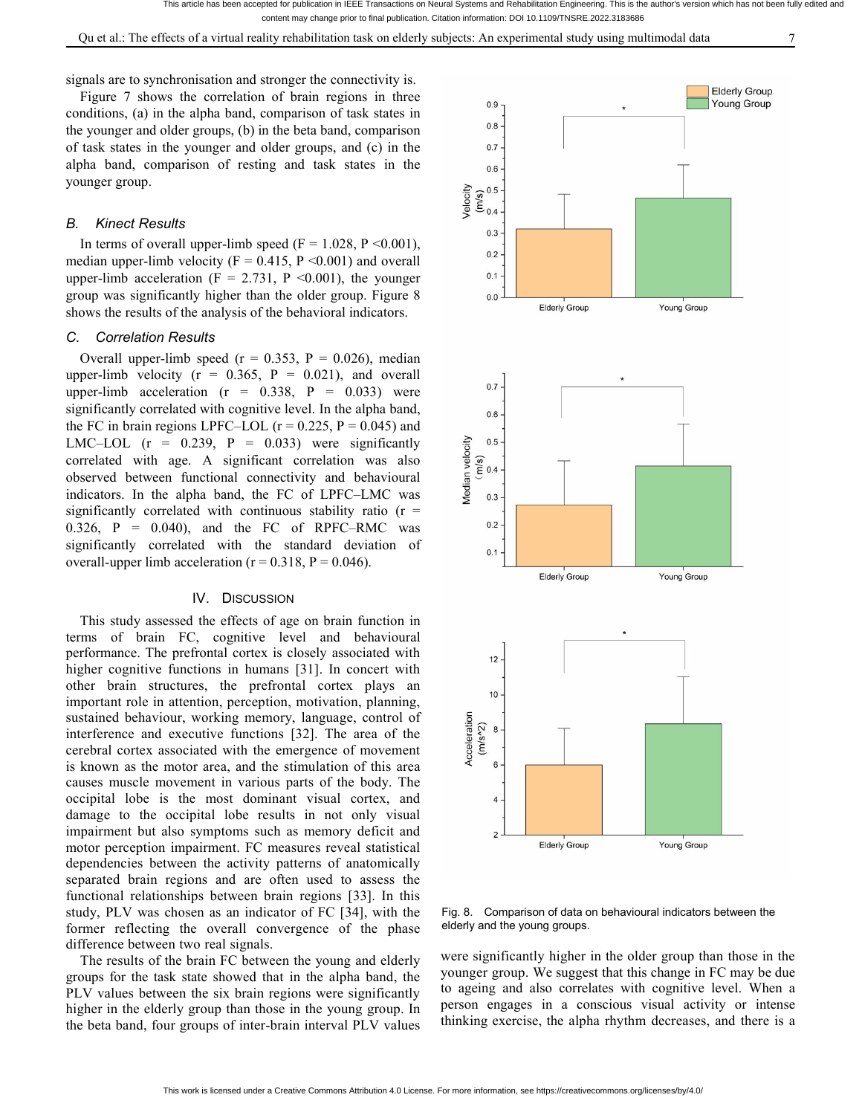Qu et al.: The effects of a virtual reality rehabilitation task on elderly subjects: An experimental study using multimodal data 7

signals are to synchronisation and stronger the connectivity is.

Figure 7 shows the correlation of brain regions in three  $_{0.9}$ conditions, (a) in the alpha band, comparison of task states in the vouncer and older groups. (b) in the heta band, comparison the younger and older groups, (b) in the beta band, comparison of task states in the younger and older groups, and (c) in the alpha band, comparison of resting and task states in the younger group.

# *B. Kinect Results*

In terms of overall upper-limb speed  $(F = 1.028, P < 0.001)$ , 0.3 median upper-limb velocity ( $F = 0.415$ ,  $P \le 0.001$ ) and overall upper-limb acceleration ( $F = 2.731$ ,  $P \le 0.001$ ), the younger 0.1 group was significantly higher than the older group. Figure 8  $\frac{1}{\text{Eulerly Group}}$ shows the results of the analysis of the behavioral indicators.

## *C. Correlation Results*

Overall upper-limb speed ( $r = 0.353$ ,  $P = 0.026$ ), median upper-limb velocity  $(r = 0.365, P = 0.021)$ , and overall  $(r = 0.329, P = 0.033)$  mm upper-limb acceleration  $(r = 0.338, P = 0.033)$  were significantly correlated with cognitive level. In the alpha band,  $_{0.6}$ the FC in brain regions LPFC–LOL ( $r = 0.225$ ,  $P = 0.045$ ) and LMC–LOL (r = 0.239, P = 0.033) were significantly<br>correlated with age. A significant correlation was also<br>observed between functional connectivity and behavioural<br>indicators. In the alpha band, the FC of LPFC–LMC was correlated with age. A significant correlation was also  $\frac{1}{2}$   $\frac{1}{2}$   $\frac{1}{2}$   $\frac{1}{2}$   $\frac{1}{2}$   $\frac{1}{2}$   $\frac{1}{2}$   $\frac{1}{2}$   $\frac{1}{2}$   $\frac{1}{2}$   $\frac{1}{2}$   $\frac{1}{2}$   $\frac{1}{2}$   $\frac{1}{2}$   $\frac{1}{2}$   $\frac{1}{2}$   $\frac{1$ observed between functional connectivity and behavioural indicators. In the alpha band, the FC of LPFC–LMC was  $\frac{8}{5}$  0.3 significantly correlated with continuous stability ratio ( $r = 0.326 - P = 0.040$ ) and the EC of PBEC BMC was  $0.326$ ,  $P = 0.040$ ), and the FC of RPFC-RMC was significantly correlated with the standard deviation of  $_{0.1}$ overall-upper limb acceleration ( $r = 0.318$ ,  $P = 0.046$ ).

#### IV. DISCUSSION

This study assessed the effects of age on brain function in terms of brain FC, cognitive level and behavioural performance. The prefrontal cortex is closely associated with <sub>12</sub> higher cognitive functions in humans [31]. In concert with other brain structures, the prefrontal cortex plays an important role in attention, perception, motivation, planning, sustained behaviour, working memory, language, control of<br>interference and executive functions [32]. The area of the<br>cerebral cortex associated with the emergence of movement<br>is known as the meta graph that dimension of t interference and executive functions [32]. The area of the cerebral cortex associated with the emergence of movement is known as the motor area, and the stimulation of this area  $\leq 6$ causes muscle movement in various parts of the body. The occipital lobe is the most dominant visual cortex, and damage to the occipital lobe results in not only visual impairment but also symptoms such as memory deficit and<br>motor perception impairment. EC measures reveal statistical motor perception impairment. FC measures reveal statistical dependencies between the activity patterns of anatomically separated brain regions and are often used to assess the functional relationships between brain regions [33]. In this study, PLV was chosen as an indicator of FC [34], with the former reflecting the overall convergence of the phase difference between two real signals.

The results of the brain FC between the young and elderly groups for the task state showed that in the alpha band, the PLV values between the six brain regions were significantly higher in the elderly group than those in the young group. In the beta band, four groups of inter-brain interval PLV values



Fig. 8. Comparison of data on behavioural indicators between the elderly and the young groups.

were significantly higher in the older group than those in the younger group. We suggest that this change in FC may be due to ageing and also correlates with cognitive level. When a person engages in a conscious visual activity or intense thinking exercise, the alpha rhythm decreases, and there is a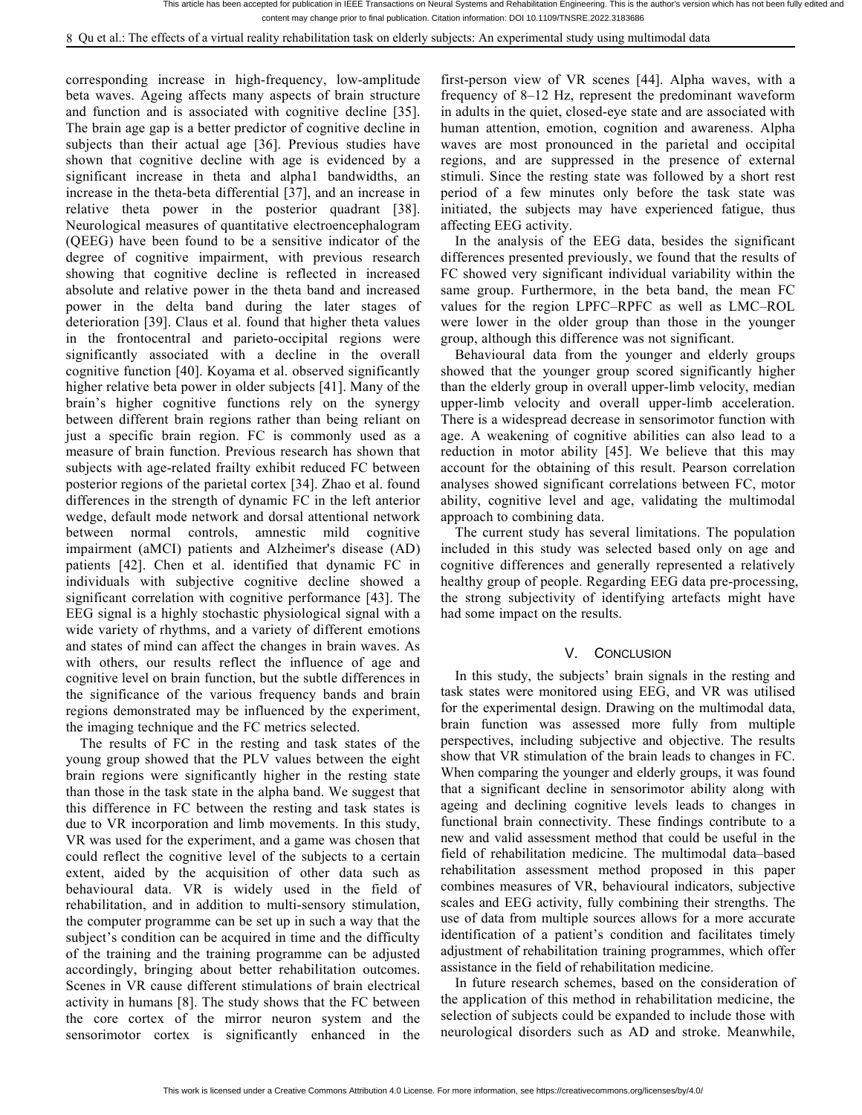corresponding increase in high-frequency, low-amplitude beta waves. Ageing affects many aspects of brain structure and function and is associated with cognitive decline [35]. The brain age gap is a better predictor of cognitive decline in subjects than their actual age [36]. Previous studies have shown that cognitive decline with age is evidenced by a significant increase in theta and alpha1 bandwidths, an increase in the theta-beta differential [37], and an increase in relative theta power in the posterior quadrant [38]. Neurological measures of quantitative electroencephalogram (QEEG) have been found to be a sensitive indicator of the degree of cognitive impairment, with previous research showing that cognitive decline is reflected in increased absolute and relative power in the theta band and increased power in the delta band during the later stages of deterioration [39]. Claus et al. found that higher theta values in the frontocentral and parieto-occipital regions were significantly associated with a decline in the overall cognitive function [40]. Koyama et al. observed significantly higher relative beta power in older subjects [41]. Many of the brain's higher cognitive functions rely on the synergy between different brain regions rather than being reliant on just a specific brain region. FC is commonly used as a measure of brain function. Previous research has shown that subjects with age-related frailty exhibit reduced FC between posterior regions of the parietal cortex [34]. Zhao et al. found differences in the strength of dynamic FC in the left anterior wedge, default mode network and dorsal attentional network between normal controls, amnestic mild cognitive impairment (aMCI) patients and Alzheimer's disease (AD) patients [42]. Chen et al. identified that dynamic FC in individuals with subjective cognitive decline showed a significant correlation with cognitive performance [43]. The EEG signal is a highly stochastic physiological signal with a wide variety of rhythms, and a variety of different emotions and states of mind can affect the changes in brain waves. As with others, our results reflect the influence of age and cognitive level on brain function, but the subtle differences in the significance of the various frequency bands and brain regions demonstrated may be influenced by the experiment, the imaging technique and the FC metrics selected.

The results of FC in the resting and task states of the young group showed that the PLV values between the eight brain regions were significantly higher in the resting state than those in the task state in the alpha band. We suggest that this difference in FC between the resting and task states is due to VR incorporation and limb movements. In this study, VR was used for the experiment, and a game was chosen that could reflect the cognitive level of the subjects to a certain extent, aided by the acquisition of other data such as behavioural data. VR is widely used in the field of rehabilitation, and in addition to multi-sensory stimulation, the computer programme can be set up in such a way that the subject's condition can be acquired in time and the difficulty of the training and the training programme can be adjusted accordingly, bringing about better rehabilitation outcomes. Scenes in VR cause different stimulations of brain electrical activity in humans [8]. The study shows that the FC between the core cortex of the mirror neuron system and the sensorimotor cortex is significantly enhanced in the

first-person view of VR scenes[44]. Alpha waves, with a frequency of 8–12 Hz, represent the predominant waveform in adults in the quiet, closed-eye state and are associated with human attention, emotion, cognition and awareness. Alpha waves are most pronounced in the parietal and occipital regions, and are suppressed in the presence of external stimuli. Since the resting state was followed by a short rest period of a few minutes only before the task state was initiated, the subjects may have experienced fatigue, thus affecting EEG activity.

In the analysis of the EEG data, besides the significant differences presented previously, we found that the results of FC showed very significant individual variability within the same group. Furthermore, in the beta band, the mean FC values for the region LPFC–RPFC as well as LMC–ROL were lower in the older group than those in the younger group, although this difference was not significant.

Behavioural data from the younger and elderly groups showed that the younger group scored significantly higher than the elderly group in overall upper-limb velocity, median upper-limb velocity and overall upper-limb acceleration. There is a widespread decrease in sensorimotor function with age. A weakening of cognitive abilities can also lead to a reduction in motor ability [45]. We believe that this may account for the obtaining of this result. Pearson correlation analyses showed significant correlations between FC, motor ability, cognitive level and age, validating the multimodal approach to combining data.

The current study has several limitations. The population included in this study was selected based only on age and cognitive differences and generally represented a relatively healthy group of people. Regarding EEG data pre-processing, the strong subjectivity of identifying artefacts might have had some impact on the results.

#### V. CONCLUSION

In this study, the subjects' brain signals in the resting and task states were monitored using EEG, and VR was utilised for the experimental design. Drawing on the multimodal data, brain function was assessed more fully from multiple perspectives, including subjective and objective. The results show that VR stimulation of the brain leads to changes in FC. When comparing the younger and elderly groups, it was found that a significant decline in sensorimotor ability along with ageing and declining cognitive levels leads to changes in functional brain connectivity. These findings contribute to a new and validassessment method that could be useful in the field of rehabilitation medicine. The multimodal data–based rehabilitation assessment method proposed in this paper combines measures of VR, behavioural indicators, subjective scales and EEG activity, fully combining their strengths. The use of data from multiple sources allows for a more accurate identification of a patient's condition and facilitates timely adjustment of rehabilitation training programmes, which offer assistance in the field of rehabilitation medicine.

In future research schemes, based on the consideration of the application of this method in rehabilitation medicine, the selection of subjects could be expanded to include those with neurological disorders such as AD and stroke. Meanwhile,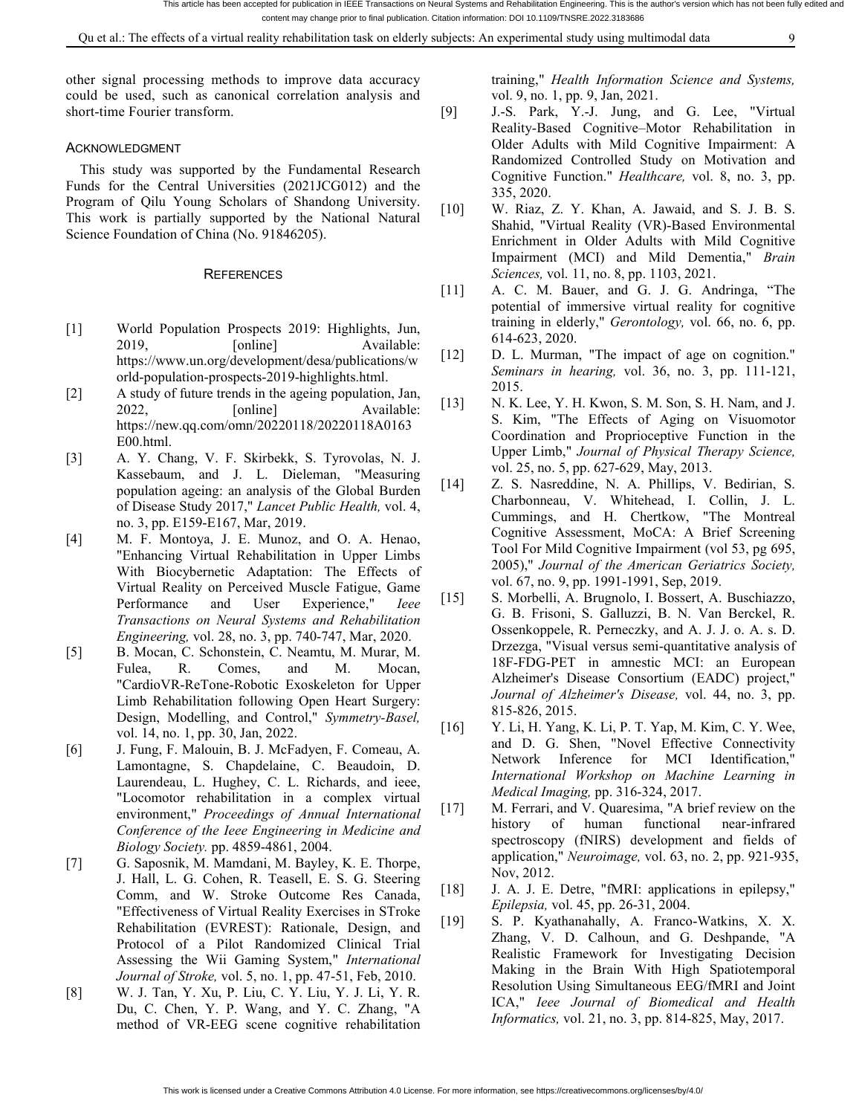other signal processing methods to improve data accuracy could be used, such as canonical correlation analysis and short-time Fourier transform.

#### ACKNOWLEDGMENT

This study was supported by the Fundamental Research Funds for the Central Universities (2021JCG012) and the Program of Qilu Young Scholars of Shandong University. [10] This work is partially supported by the National Natural Science Foundation of China (No. 91846205).

#### **REFERENCES**

- [1] World Population Prospects 2019: Highlights, Jun, 2019, [online] Available: [12] https://www.un.org/development/desa/publications/w orld-population-prospects-2019-highlights.html.
- [2] A study of future trends in the ageing population, Jan, 2022, [online] Available: https://new.qq.com/omn/20220118/20220118A0163 E00.html.
- [3] A. Y. Chang, V. F. Skirbekk, S. Tyrovolas, N. J. Kassebaum, and J. L. Dieleman, "Measuring<br>nonvistion against an analysis of the Global Burden. [14] population ageing: an analysis of the Global Burden of Disease Study 2017," *Lancet Public Health,* vol. 4, no. 3, pp. E159-E167, Mar, 2019.
- [4] M. F. Montoya, J. E. Munoz, and O. A. Henao, "Enhancing Virtual Rehabilitation in Upper Limbs With Biocybernetic Adaptation: The Effects of Virtual Reality on Perceived Muscle Fatigue, Game<br>Performance and User Experience Lege [15] Performance and User Experience," *Ieee Transactions on Neural Systems and Rehabilitation Engineering,* vol. 28, no. 3, pp. 740-747, Mar, 2020.
- [5] B. Mocan, C. Schonstein, C. Neamtu, M. Murar, M. Fulea, R. Comes, and M. Mocan, "CardioVR-ReTone-Robotic Exoskeleton for Upper Limb Rehabilitation following Open Heart Surgery: Design, Modelling, and Control," *Symmetry-Basel,* vol. 14, no. 1, pp. 30, Jan, 2022.
- [6] J. Fung, F. Malouin, B. J. McFadyen, F. Comeau, A. Lamontagne, S. Chapdelaine, C. Beaudoin, D. Laurendeau, L. Hughey, C. L. Richards, and ieee, "Locomotor rehabilitation in a complex virtual<br>environment" *Proceedings of Annual International*  $[17]$ environment," *Proceedings of Annual International Conference of the Ieee Engineering in Medicine and Biology Society.* pp. 4859-4861, 2004.
- [7] G. Saposnik, M. Mamdani, M. Bayley, K. E. Thorpe, J. Hall, L. G. Cohen, R. Teasell, E. S. G. Steering Comm, and W. Stroke Outcome Res Canada, "Effectiveness of Virtual Reality Exercises in STroke Rehabilitation (EVREST): Rationale, Design, and Protocol of a Pilot Randomized Clinical Trial Assessing the Wii Gaming System," *International Journal of Stroke,* vol. 5, no. 1, pp. 47-51, Feb, 2010.
- [8] W. J. Tan, Y. Xu, P. Liu, C. Y. Liu, Y. J. Li, Y. R. Du, C. Chen, Y. P. Wang, and Y. C. Zhang, "A method of VR-EEG scene cognitive rehabilitation

training," *Health Information Science and Systems,* vol. 9, no. 1, pp. 9, Jan, 2021.

- [9] J.-S. Park, Y.-J. Jung, and G. Lee, "Virtual Reality-Based Cognitive–Motor Rehabilitation in Older Adults with Mild Cognitive Impairment: A Randomized Controlled Study on Motivation and Cognitive Function." *Healthcare,* vol. 8, no. 3, pp. 335, 2020.
- W. Riaz, Z. Y. Khan, A. Jawaid, and S. J. B. S. Shahid, "Virtual Reality (VR)-Based Environmental Enrichment in Older Adults with Mild Cognitive Impairment (MCI) and Mild Dementia," *Brain Sciences,* vol. 11, no. 8, pp. 1103, 2021.
- [11] A. C. M. Bauer, and G. J. G. Andringa, "The potential of immersive virtual reality for cognitive training in elderly," *Gerontology,* vol. 66, no. 6, pp. 614-623, 2020.
- D. L. Murman, "The impact of age on cognition." *Seminars in hearing,* vol. 36, no. 3, pp. 111-121, 2015.
- N. K. Lee, Y. H. Kwon, S. M. Son, S. H. Nam, and J. S. Kim, "The Effects of Aging on Visuomotor Coordination and Proprioceptive Function in the Upper Limb," *Journal of Physical Therapy Science,* vol. 25, no. 5, pp. 627-629, May, 2013.
- Z. S. Nasreddine, N. A. Phillips, V. Bedirian, S. Charbonneau, V. Whitehead, I. Collin, J. L. Cummings, and H. Chertkow, "The Montreal Cognitive Assessment, MoCA: A Brief Screening Tool For Mild Cognitive Impairment (vol 53, pg 695, 2005)," *Journal of the American Geriatrics Society,* vol. 67, no. 9, pp. 1991-1991, Sep, 2019.
- [15] S. Morbelli, A. Brugnolo, I. Bossert, A. Buschiazzo, G. B. Frisoni, S. Galluzzi, B. N. Van Berckel, R. Ossenkoppele, R. Perneczky, and A. J. J. o. A. s. D. Drzezga, "Visual versus semi-quantitative analysis of 18F-FDG-PET in amnestic MCI: an European Alzheimer's Disease Consortium (EADC) project," *Journal of Alzheimer's Disease,* vol. 44, no. 3, pp. 815-826, 2015.
- Y. Li, H. Yang, K. Li, P. T. Yap, M. Kim, C. Y. Wee, and D. G. Shen, "Novel Effective Connectivity Network Inference for MCI Identification," *International Workshop on Machine Learning in Medical Imaging,* pp. 316-324, 2017.
- M. Ferrari, and V. Quaresima, "A brief review on the history of human functional near-infrared spectroscopy (fNIRS) development and fields of application," *Neuroimage,* vol. 63, no. 2, pp. 921-935, Nov, 2012.
- J. A. J. E. Detre, "fMRI: applications in epilepsy," *Epilepsia,* vol. 45, pp. 26-31, 2004.
- S. P. Kyathanahally, A. Franco-Watkins, X. X. Zhang, V. D. Calhoun, and G. Deshpande, "A Realistic Framework for Investigating Decision Making in the Brain With High Spatiotemporal Resolution Using Simultaneous EEG/fMRI and Joint ICA," *Ieee Journal of Biomedical and Health Informatics,* vol. 21, no. 3, pp. 814-825, May, 2017.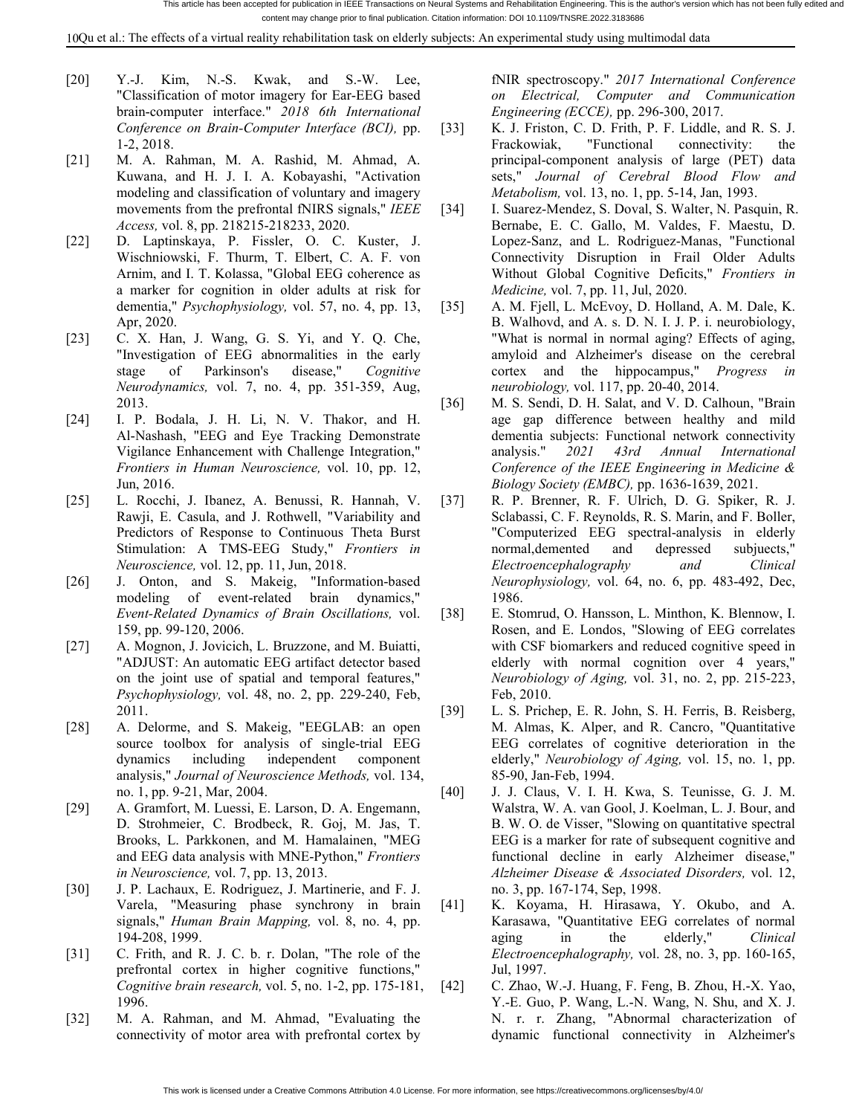10Qu et al.: The effects ofa virtual reality rehabilitation task on elderly subjects: An experimental study using multimodal data

- [20] Y.-J. Kim, N.-S. Kwak, and S.-W. Lee, "Classification of motor imagery for Ear-EEG based brain-computer interface." *2018 6th International Conference on Brain-Computer Interface (BCI),* pp. 1-2, 2018.
- [21] M. A. Rahman, M. A. Rashid, M. Ahmad, A. Kuwana, and H. J. I. A. Kobayashi, "Activation modeling and classification of voluntary and imagery movements from the prefrontal fNIRS signals," *IEEE* [34] *Access,* vol. 8, pp. 218215-218233, 2020.
- [22] D. Laptinskaya, P. Fissler, O. C. Kuster, J. Wischniowski, F. Thurm, T. Elbert, C. A. F. von Arnim, and I. T. Kolassa, "Global EEG coherence as a marker for cognition in older adults at risk for dementia," *Psychophysiology,* vol. 57, no. 4, pp. 13, Apr, 2020.
- [23] C. X. Han, J. Wang, G. S. Yi, and Y. Q. Che, "Investigation of EEG abnormalities in the early stage of Parkinson's disease," *Cognitive Neurodynamics,* vol. 7, no. 4, pp. 351-359, Aug, 2013.
- [24] I. P. Bodala, J. H. Li, N. V. Thakor, and H. Al-Nashash, "EEG and Eye Tracking Demonstrate Vigilance Enhancement with Challenge Integration," *Frontiers in Human Neuroscience,* vol. 10, pp. 12, Jun, 2016.
- [25] L. Rocchi, J. Ibanez, A. Benussi, R. Hannah, V. Rawji, E. Casula, and J. Rothwell, "Variability and Predictors of Response to Continuous Theta Burst Stimulation: A TMS-EEG Study," *Frontiers in Neuroscience,* vol. 12, pp. 11, Jun, 2018.
- [26] J. Onton, and S. Makeig, "Information-based modeling of event-related brain dynamics," *Event-Related Dynamics of Brain Oscillations,* vol. 159, pp. 99-120, 2006.
- [27] A. Mognon, J. Jovicich, L. Bruzzone, and M. Buiatti,"ADJUST: An automatic EEG artifact detector based on the joint use of spatial and temporal features," *Psychophysiology,* vol. 48, no. 2, pp. 229-240, Feb, 2011.
- [28] A. Delorme, and S. Makeig, "EEGLAB: an open source toolbox for analysis of single-trial EEG dynamics including independent component analysis," *Journal of Neuroscience Methods,* vol. 134, no. 1, pp. 9-21, Mar, 2004.
- [29] A. Gramfort, M. Luessi, E. Larson, D. A. Engemann, D. Strohmeier, C. Brodbeck, R. Goj, M. Jas, T. Brooks, L. Parkkonen, and M. Hamalainen, "MEG and EEG data analysis with MNE-Python," *Frontiers in Neuroscience,* vol. 7, pp. 13, 2013.
- [30] J. P. Lachaux, E. Rodriguez, J. Martinerie, and F. J. Varela, "Measuring phase synchrony in brain signals," *Human Brain Mapping,* vol. 8, no. 4, pp. 194-208, 1999.
- [31] C. Frith, and R. J. C. b. r. Dolan, "The role of the prefrontal cortex in higher cognitive functions," *Cognitive brain research,* vol. 5, no. 1-2, pp. 175-181, 1996.
- [32] M. A. Rahman, and M. Ahmad, "Evaluating the connectivity of motor area with prefrontal cortex by

fNIR spectroscopy." *2017 International Conference on Electrical, Computer and Communication Engineering (ECCE),* pp. 296-300, 2017.

- K. J. Friston, C. D. Frith, P. F. Liddle, and R. S. J. Frackowiak, "Functional connectivity: the principal-component analysis of large (PET) data sets," *Journal of Cerebral Blood Flow and Metabolism,* vol. 13, no. 1, pp. 5-14, Jan, 1993.
- I. Suarez-Mendez, S. Doval, S. Walter, N. Pasquin, R. Bernabe, E. C. Gallo, M. Valdes, F. Maestu, D. Lopez-Sanz, and L. Rodriguez-Manas, "Functional Connectivity Disruption in Frail Older Adults Without Global Cognitive Deficits," *Frontiers in Medicine,* vol. 7, pp. 11, Jul, 2020.
- A. M. Fjell, L. McEvoy, D. Holland, A. M. Dale, K. B. Walhovd, and A. s. D. N. I. J. P. i. neurobiology, "What is normal in normal aging? Effects of aging, amyloid and Alzheimer's disease on the cerebral cortex and the hippocampus," *Progress in neurobiology,* vol. 117, pp. 20-40, 2014.
- [36] M. S. Sendi, D. H. Salat, and V. D. Calhoun, "Brain age gap difference between healthy and mild dementia subjects: Functional network connectivity analysis." *2021 43rd Annual International Conference of the IEEE Engineering in Medicine & Biology Society (EMBC),* pp. 1636-1639, 2021.
- R. P. Brenner, R. F. Ulrich, D. G. Spiker, R. J. Sclabassi, C. F. Reynolds, R. S. Marin, and F. Boller, "Computerized EEG spectral-analysis in elderly normal,demented and depressed subjuects," *Electroencephalography and Clinical Neurophysiology,* vol. 64, no. 6, pp. 483-492, Dec, 1986.
- E. Stomrud, O. Hansson, L. Minthon, K. Blennow, I. Rosen, and E. Londos, "Slowing of EEG correlates with CSF biomarkers and reduced cognitive speed in elderly with normal cognition over 4 years," *Neurobiology of Aging,* vol. 31, no. 2, pp. 215-223, Feb, 2010.
- [39] L. S. Prichep, E. R. John, S. H. Ferris, B. Reisberg, M. Almas, K. Alper, and R. Cancro, "Quantitative EEG correlates of cognitive deterioration in the elderly," *Neurobiology of Aging,* vol. 15, no. 1, pp. 85-90, Jan-Feb, 1994.
- [40] J. J. Claus, V. I. H. Kwa, S. Teunisse, G. J. M. Walstra, W. A. van Gool, J. Koelman, L. J. Bour, and B. W. O. de Visser, "Slowing on quantitative spectral EEG is a marker for rate of subsequent cognitive and functional decline in early Alzheimer disease," *Alzheimer Disease & Associated Disorders,* vol. 12, no. 3, pp. 167-174, Sep, 1998.
- K. Koyama, H. Hirasawa, Y. Okubo, and A. Karasawa, "Quantitative EEG correlates of normal aging in the elderly," *Clinical Electroencephalography,* vol. 28, no. 3, pp. 160-165, Jul, 1997.
- C. Zhao, W.-J. Huang, F. Feng, B. Zhou, H.-X. Yao, Y.-E. Guo, P. Wang, L.-N. Wang, N. Shu, and X. J. N. r. r. Zhang, "Abnormal characterization of dynamic functional connectivity in Alzheimer's